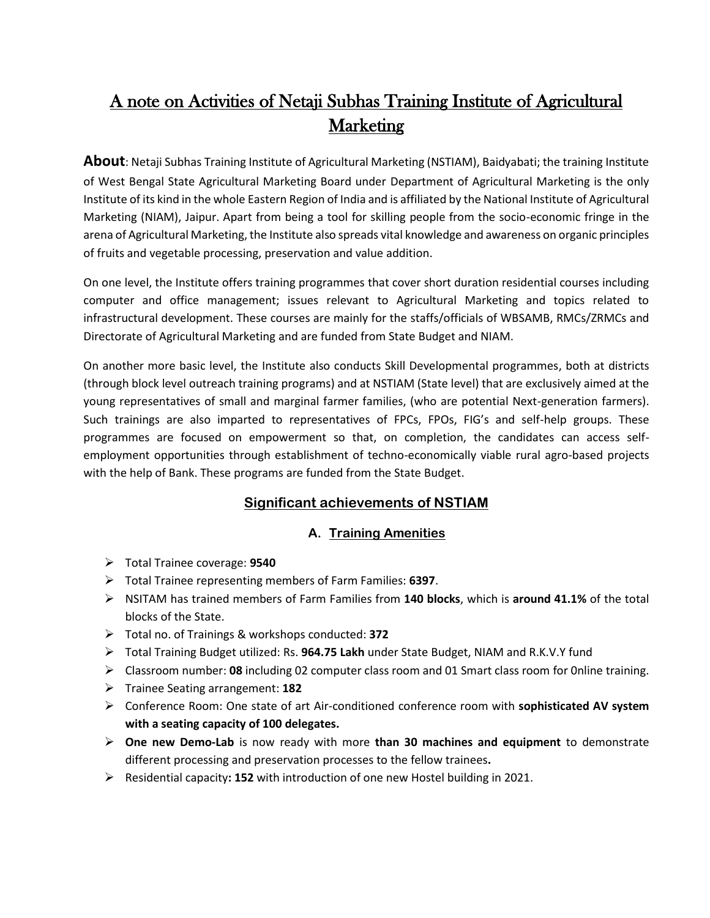## A note on Activities of Netaji Subhas Training Institute of Agricultural **Marketing**

**About**: Netaji Subhas Training Institute of Agricultural Marketing (NSTIAM), Baidyabati; the training Institute of West Bengal State Agricultural Marketing Board under Department of Agricultural Marketing is the only Institute of its kind in the whole Eastern Region of India and is affiliated by the National Institute of Agricultural Marketing (NIAM), Jaipur. Apart from being a tool for skilling people from the socio-economic fringe in the arena of Agricultural Marketing, the Institute also spreads vital knowledge and awareness on organic principles of fruits and vegetable processing, preservation and value addition.

On one level, the Institute offers training programmes that cover short duration residential courses including computer and office management; issues relevant to Agricultural Marketing and topics related to infrastructural development. These courses are mainly for the staffs/officials of WBSAMB, RMCs/ZRMCs and Directorate of Agricultural Marketing and are funded from State Budget and NIAM.

On another more basic level, the Institute also conducts Skill Developmental programmes, both at districts (through block level outreach training programs) and at NSTIAM (State level) that are exclusively aimed at the young representatives of small and marginal farmer families, (who are potential Next-generation farmers). Such trainings are also imparted to representatives of FPCs, FPOs, FIG's and self-help groups. These programmes are focused on empowerment so that, on completion, the candidates can access selfemployment opportunities through establishment of techno-economically viable rural agro-based projects with the help of Bank. These programs are funded from the State Budget.

## **Significant achievements of NSTIAM**

## **A. Training Amenities**

- ➢ Total Trainee coverage: **9540**
- ➢ Total Trainee representing members of Farm Families: **6397**.
- ➢ NSITAM has trained members of Farm Families from **140 blocks**, which is **around 41.1%** of the total blocks of the State.
- ➢ Total no. of Trainings & workshops conducted: **372**
- ➢ Total Training Budget utilized: Rs. **964.75 Lakh** under State Budget, NIAM and R.K.V.Y fund
- ➢ Classroom number: **08** including 02 computer class room and 01 Smart class room for 0nline training.
- ➢ Trainee Seating arrangement: **182**
- ➢ Conference Room: One state of art Air-conditioned conference room with **sophisticated AV system with a seating capacity of 100 delegates.**
- ➢ **One new Demo-Lab** is now ready with more **than 30 machines and equipment** to demonstrate different processing and preservation processes to the fellow trainees**.**
- ➢ Residential capacity**: 152** with introduction of one new Hostel building in 2021.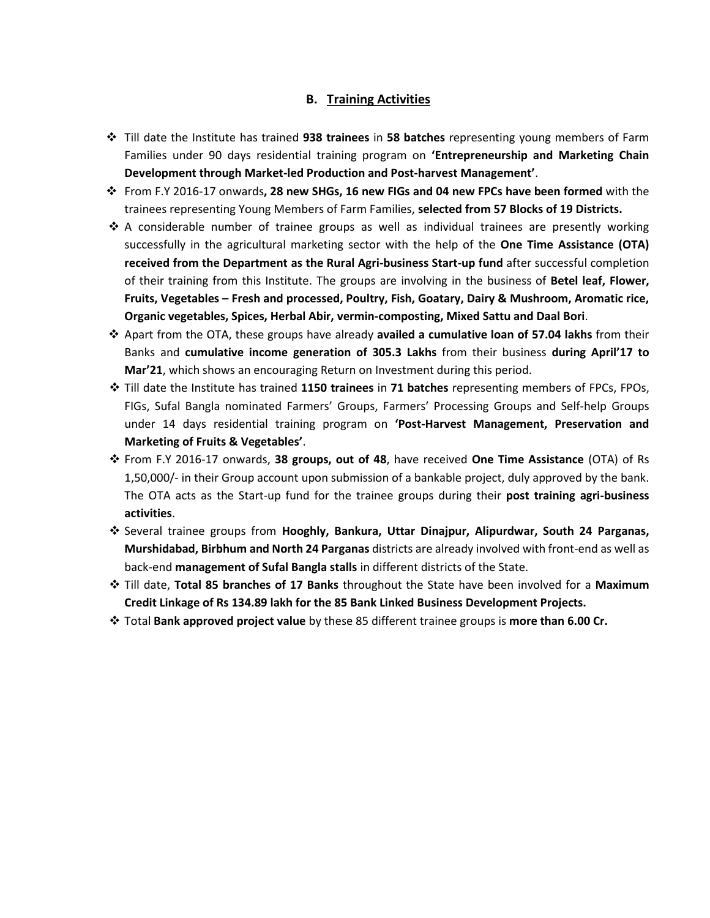## **B. Training Activities**

- ❖ Till date the Institute has trained **938 trainees** in **58 batches** representing young members of Farm Families under 90 days residential training program on **'Entrepreneurship and Marketing Chain Development through Market-led Production and Post-harvest Management'**.
- ❖ From F.Y 2016-17 onwards**, 28 new SHGs, 16 new FIGs and 04 new FPCs have been formed** with the trainees representing Young Members of Farm Families, **selected from 57 Blocks of 19 Districts.**
- ❖ A considerable number of trainee groups as well as individual trainees are presently working successfully in the agricultural marketing sector with the help of the **One Time Assistance (OTA) received from the Department as the Rural Agri-business Start-up fund** after successful completion of their training from this Institute. The groups are involving in the business of **Betel leaf, Flower, Fruits, Vegetables – Fresh and processed, Poultry, Fish, Goatary, Dairy & Mushroom, Aromatic rice, Organic vegetables, Spices, Herbal Abir, vermin-composting, Mixed Sattu and Daal Bori**.
- ❖ Apart from the OTA, these groups have already **availed a cumulative loan of 57.04 lakhs** from their Banks and **cumulative income generation of 305.3 Lakhs** from their business **during April'17 to Mar'21**, which shows an encouraging Return on Investment during this period.
- ❖ Till date the Institute has trained **1150 trainees** in **71 batches** representing members of FPCs, FPOs, FIGs, Sufal Bangla nominated Farmers' Groups, Farmers' Processing Groups and Self-help Groups under 14 days residential training program on **'Post-Harvest Management, Preservation and Marketing of Fruits & Vegetables'**.
- ❖ From F.Y 2016-17 onwards, **38 groups, out of 48**, have received **One Time Assistance** (OTA) of Rs 1,50,000/- in their Group account upon submission of a bankable project, duly approved by the bank. The OTA acts as the Start-up fund for the trainee groups during their **post training agri-business activities**.
- ❖ Several trainee groups from **Hooghly, Bankura, Uttar Dinajpur, Alipurdwar, South 24 Parganas, Murshidabad, Birbhum and North 24 Parganas** districts are already involved with front-end as well as back-end **management of Sufal Bangla stalls** in different districts of the State.
- ❖ Till date, **Total 85 branches of 17 Banks** throughout the State have been involved for a **Maximum Credit Linkage of Rs 134.89 lakh for the 85 Bank Linked Business Development Projects.**
- ❖ Total **Bank approved project value** by these 85 different trainee groups is **more than 6.00 Cr.**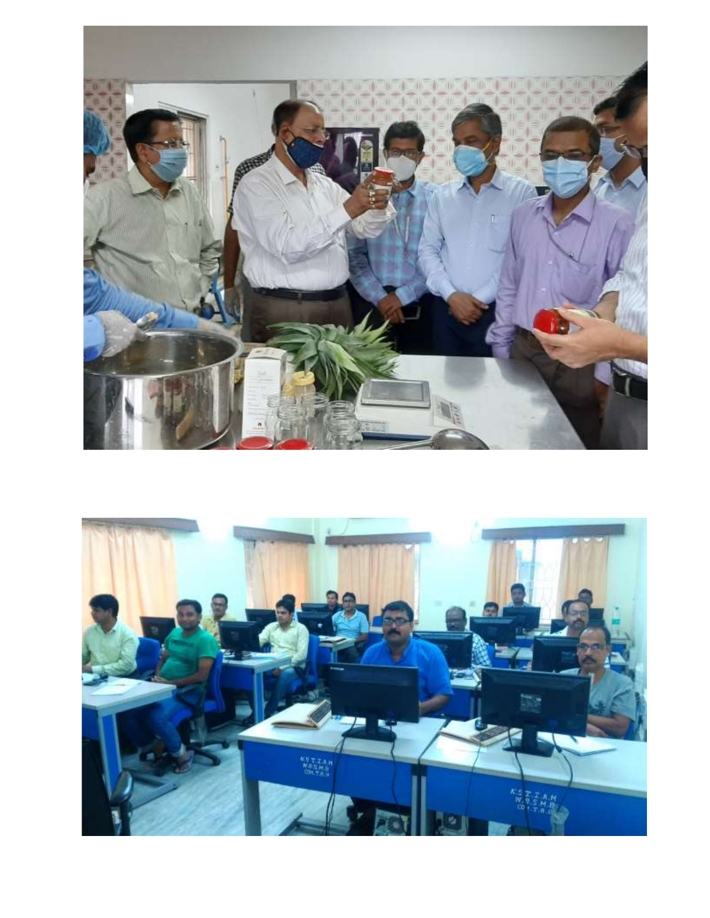

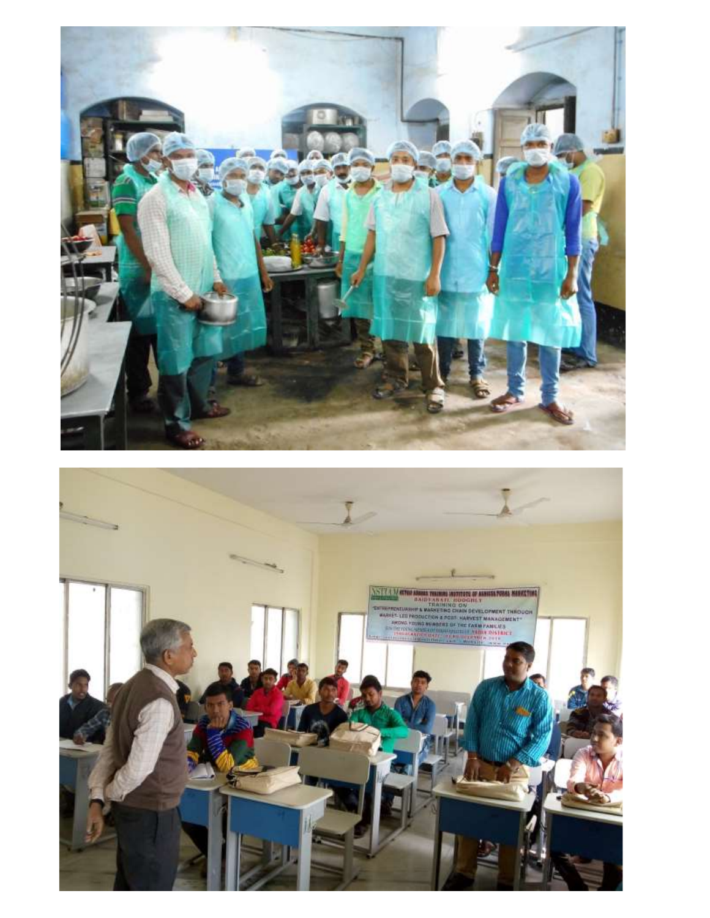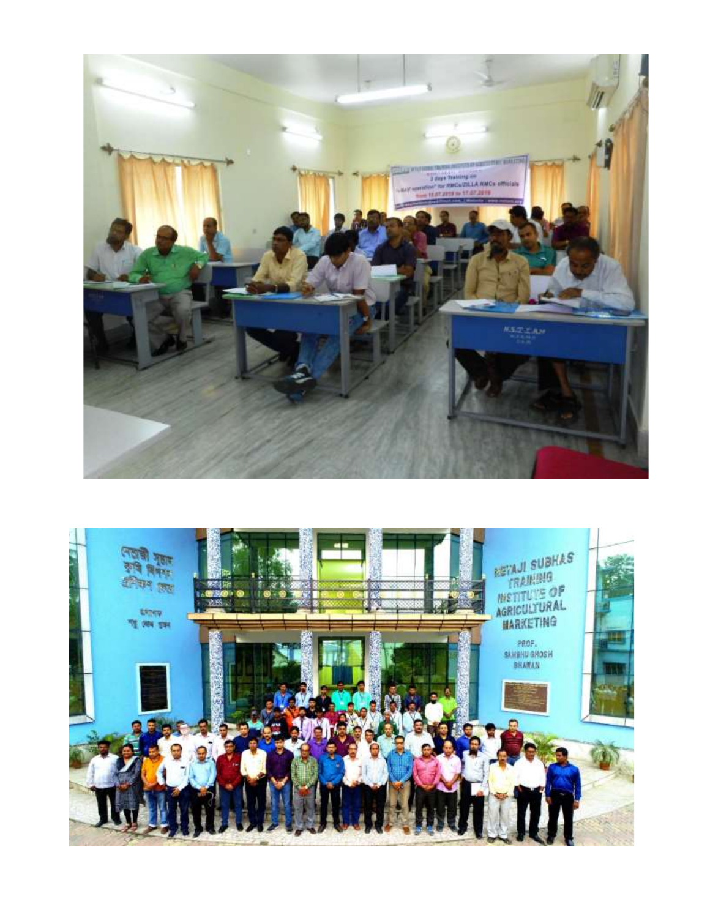